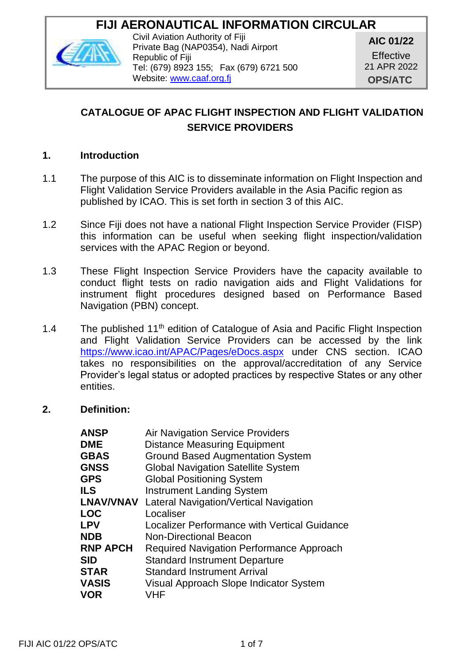# **FIJI AERONAUTICAL INFORMATION CIRCULAR**



Civil Aviation Authority of Fiji Private Bag (NAP0354), Nadi Airport Republic of Fiji Tel: (679) 8923 155; Fax (679) 6721 500 Website: [www.caaf.org.fj](http://www.caaf.org.fj/)

**AIC 01/22**

**Effective** 21 APR 2022 **OPS/ATC**

## **CATALOGUE OF APAC FLIGHT INSPECTION AND FLIGHT VALIDATION SERVICE PROVIDERS**

#### **1. Introduction**

- 1.1 The purpose of this AIC is to disseminate information on Flight Inspection and Flight Validation Service Providers available in the Asia Pacific region as published by ICAO. This is set forth in section 3 of this AIC.
- 1.2 Since Fiji does not have a national Flight Inspection Service Provider (FISP) this information can be useful when seeking flight inspection/validation services with the APAC Region or beyond.
- 1.3 These Flight Inspection Service Providers have the capacity available to conduct flight tests on radio navigation aids and Flight Validations for instrument flight procedures designed based on Performance Based Navigation (PBN) concept.
- 1.4 The published  $11<sup>th</sup>$  edition of Catalogue of Asia and Pacific Flight Inspection and Flight Validation Service Providers can be accessed by the link <https://www.icao.int/APAC/Pages/eDocs.aspx> under CNS section. ICAO takes no responsibilities on the approval/accreditation of any Service Provider's legal status or adopted practices by respective States or any other entities.

#### **2. Definition:**

| Air Navigation Service Providers                           |
|------------------------------------------------------------|
| <b>Distance Measuring Equipment</b>                        |
| Ground Based Augmentation System                           |
| Global Navigation Satellite System                         |
| <b>Global Positioning System</b>                           |
| <b>Instrument Landing System</b>                           |
| <b>LNAV/VNAV</b><br>Lateral Navigation/Vertical Navigation |
| Localiser                                                  |
| Localizer Performance with Vertical Guidance               |
| Non-Directional Beacon                                     |
| Required Navigation Performance Approach                   |
| <b>Standard Instrument Departure</b>                       |
| <b>Standard Instrument Arrival</b>                         |
| Visual Approach Slope Indicator System                     |
| VHF                                                        |
|                                                            |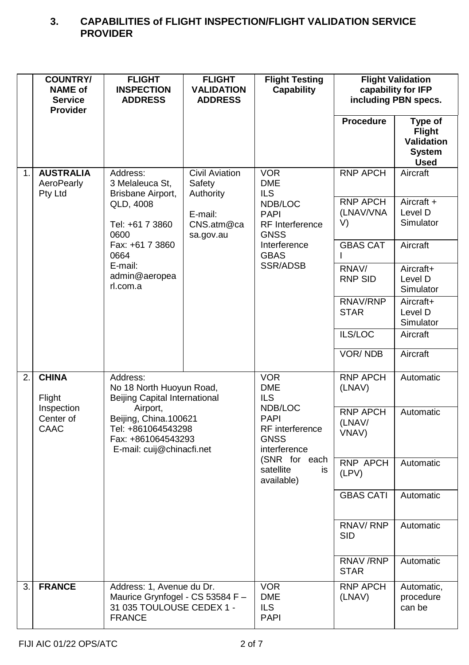### **3. CAPABILITIES of FLIGHT INSPECTION/FLIGHT VALIDATION SERVICE PROVIDER**

|    | <b>COUNTRY/</b><br><b>NAME of</b><br><b>Service</b><br><b>Provider</b> | <b>FLIGHT</b><br><b>INSPECTION</b><br><b>ADDRESS</b>                                                                                                                                       | <b>FLIGHT</b><br><b>VALIDATION</b><br><b>ADDRESS</b> | <b>Flight Testing</b><br>Capability                                                                         | <b>Flight Validation</b><br>capability for IFP<br>including PBN specs. |                                                                        |                                    |                                    |
|----|------------------------------------------------------------------------|--------------------------------------------------------------------------------------------------------------------------------------------------------------------------------------------|------------------------------------------------------|-------------------------------------------------------------------------------------------------------------|------------------------------------------------------------------------|------------------------------------------------------------------------|------------------------------------|------------------------------------|
|    |                                                                        |                                                                                                                                                                                            |                                                      |                                                                                                             | Procedure                                                              | Type of<br>Flight<br><b>Validation</b><br><b>System</b><br><b>Used</b> |                                    |                                    |
| 1. | <b>AUSTRALIA</b><br>AeroPearly<br>Pty Ltd                              | Address:<br>3 Melaleuca St.<br>Brisbane Airport,                                                                                                                                           | <b>Civil Aviation</b><br>Safety<br>Authority         | <b>VOR</b><br><b>DME</b><br><b>ILS</b>                                                                      | <b>RNP APCH</b>                                                        | Aircraft                                                               |                                    |                                    |
|    |                                                                        | QLD, 4008<br>Tel: +61 7 3860<br>0600                                                                                                                                                       | E-mail:<br>CNS.atm@ca<br>sa.gov.au                   |                                                                                                             |                                                                        | NDB/LOC<br><b>PAPI</b><br>RF Interference<br><b>GNSS</b>               | <b>RNP APCH</b><br>(LNAV/VNA<br>V) | Aircraft +<br>Level D<br>Simulator |
|    |                                                                        | Fax: +61 7 3860<br>0664                                                                                                                                                                    |                                                      | Interference<br><b>GBAS</b>                                                                                 | <b>GBAS CAT</b><br>L                                                   | Aircraft                                                               |                                    |                                    |
|    |                                                                        | E-mail:<br>admin@aeropea<br>rl.com.a                                                                                                                                                       |                                                      | SSR/ADSB                                                                                                    | RNAV/<br><b>RNP SID</b>                                                | Aircraft+<br>Level D<br>Simulator                                      |                                    |                                    |
|    |                                                                        |                                                                                                                                                                                            |                                                      |                                                                                                             | RNAV/RNP<br><b>STAR</b>                                                | Aircraft+<br>Level D<br>Simulator                                      |                                    |                                    |
|    |                                                                        |                                                                                                                                                                                            |                                                      |                                                                                                             | ILS/LOC                                                                | Aircraft                                                               |                                    |                                    |
|    |                                                                        |                                                                                                                                                                                            |                                                      |                                                                                                             | <b>VOR/NDB</b>                                                         | Aircraft                                                               |                                    |                                    |
| 2. | <b>CHINA</b><br>Flight                                                 | Address:<br>No 18 North Huoyun Road,<br><b>Beijing Capital International</b><br>Airport,<br>Beijing, China.100621<br>Tel: +861064543298<br>Fax: +861064543293<br>E-mail: cuij@chinacfi.net |                                                      | <b>VOR</b><br><b>DME</b><br>ILS<br>NDB/LOC<br><b>PAPI</b><br>RF interference<br><b>GNSS</b><br>interference | <b>RNP APCH</b><br>(LNAV)                                              | Automatic                                                              |                                    |                                    |
|    | Inspection<br>Center of<br>CAAC                                        |                                                                                                                                                                                            |                                                      |                                                                                                             | <b>RNP APCH</b><br>(LNAV/<br>VNAV)                                     | Automatic                                                              |                                    |                                    |
|    |                                                                        |                                                                                                                                                                                            |                                                      | (SNR for each<br>satellite<br>is<br>available)                                                              | <b>RNP APCH</b><br>(LPV)                                               | Automatic                                                              |                                    |                                    |
|    |                                                                        |                                                                                                                                                                                            |                                                      |                                                                                                             | <b>GBAS CATI</b>                                                       | Automatic                                                              |                                    |                                    |
|    |                                                                        |                                                                                                                                                                                            |                                                      |                                                                                                             | RNAV/RNP<br>SID                                                        | Automatic                                                              |                                    |                                    |
|    |                                                                        |                                                                                                                                                                                            |                                                      |                                                                                                             | <b>RNAV/RNP</b><br>STAR                                                | Automatic                                                              |                                    |                                    |
| 3. | <b>FRANCE</b>                                                          | Address: 1, Avenue du Dr.<br>Maurice Grynfogel - CS 53584 F -<br>31 035 TOULOUSE CEDEX 1 -<br><b>FRANCE</b>                                                                                |                                                      | <b>VOR</b><br><b>DME</b><br>ILS.<br>PAPI                                                                    | <b>RNP APCH</b><br>(LNAV)                                              | Automatic,<br>procedure<br>can be                                      |                                    |                                    |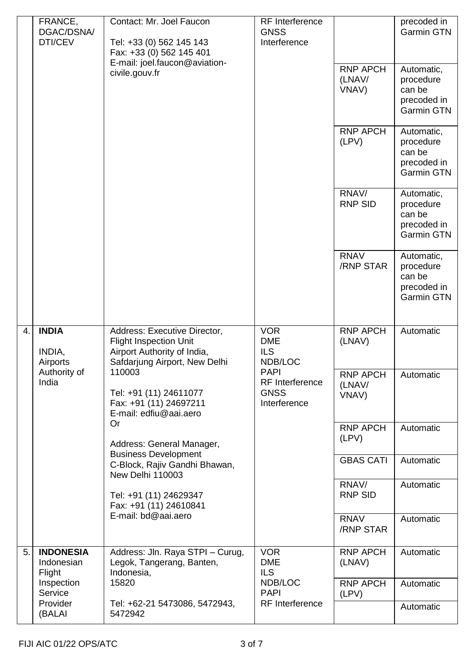|    | FRANCE,<br>DGAC/DSNA/<br>DTI/CEV                                                                                    | Contact: Mr. Joel Faucon<br>Tel: +33 (0) 562 145 143<br>Fax: +33 (0) 562 145 401                                              | <b>RF</b> Interference<br><b>GNSS</b><br>Interference         |                                    | precoded in<br>Garmin GTN                                      |
|----|---------------------------------------------------------------------------------------------------------------------|-------------------------------------------------------------------------------------------------------------------------------|---------------------------------------------------------------|------------------------------------|----------------------------------------------------------------|
|    |                                                                                                                     | E-mail: joel.faucon@aviation-<br>civile.gouv.fr                                                                               |                                                               | <b>RNP APCH</b><br>(LNAV/<br>VNAV) | Automatic,<br>procedure<br>can be<br>precoded in<br>Garmin GTN |
|    |                                                                                                                     |                                                                                                                               |                                                               | <b>RNP APCH</b><br>(LPV)           | Automatic,<br>procedure<br>can be<br>precoded in<br>Garmin GTN |
|    |                                                                                                                     |                                                                                                                               |                                                               | RNAV/<br><b>RNP SID</b>            | Automatic,<br>procedure<br>can be<br>precoded in<br>Garmin GTN |
|    |                                                                                                                     |                                                                                                                               |                                                               | <b>RNAV</b><br>/RNP STAR           | Automatic,<br>procedure<br>can be<br>precoded in<br>Garmin GTN |
| 4. | <b>INDIA</b><br>INDIA,<br>Airports                                                                                  | Address: Executive Director,<br><b>Flight Inspection Unit</b><br>Airport Authority of India,<br>Safdarjung Airport, New Delhi | <b>VOR</b><br>DME<br>ILS.<br>NDB/LOC                          | <b>RNP APCH</b><br>(LNAV)          | Automatic                                                      |
|    | Authority of<br>110003<br>India<br>Tel: +91 (11) 24611077<br>Fax: +91 (11) 24697211<br>E-mail: edfiu@aai.aero<br>Or |                                                                                                                               | <b>PAPI</b><br>RF Interference<br><b>GNSS</b><br>Interference | <b>RNP APCH</b><br>(LNAV/<br>VNAV) | Automatic                                                      |
|    |                                                                                                                     | Address: General Manager,<br><b>Business Development</b>                                                                      |                                                               | <b>RNP APCH</b><br>(LPV)           | Automatic                                                      |
|    |                                                                                                                     | C-Block, Rajiv Gandhi Bhawan,<br>New Delhi 110003                                                                             |                                                               | <b>GBAS CATI</b>                   | Automatic                                                      |
|    |                                                                                                                     | Tel: +91 (11) 24629347<br>Fax: +91 (11) 24610841                                                                              | RNAV/<br>RNP SID                                              | Automatic                          |                                                                |
|    |                                                                                                                     | E-mail: bd@aai.aero                                                                                                           |                                                               | RNAV<br>/RNP STAR                  | Automatic                                                      |
| 5. | <b>INDONESIA</b><br>Indonesian<br>Flight                                                                            | Address: Jln. Raya STPI - Curug,<br>Legok, Tangerang, Banten,<br>Indonesia,                                                   | <b>VOR</b><br><b>DME</b><br>ILS.                              | RNP APCH<br>(LNAV)                 | Automatic                                                      |
|    | Inspection<br>Service                                                                                               | 15820                                                                                                                         | NDB/LOC<br><b>PAPI</b>                                        | <b>RNP APCH</b><br>(LPV)           | Automatic                                                      |
|    | Provider<br>(BALAI                                                                                                  | Tel: +62-21 5473086, 5472943,<br>5472942                                                                                      | RF Interference                                               |                                    | Automatic                                                      |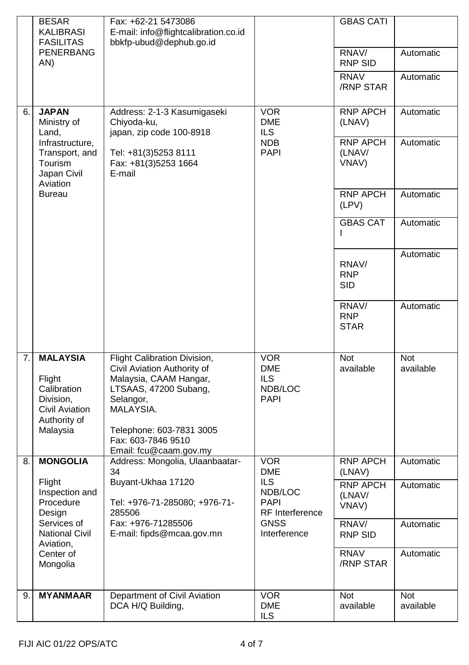|    | <b>BESAR</b><br>KALIBRASI<br><b>FASILITAS</b>                                                       | Fax: +62-21 5473086<br>E-mail: info@flightcalibration.co.id<br>bbkfp-ubud@dephub.go.id                                                                                                                               |                                                    | <b>GBAS CATI</b>                   |                         |
|----|-----------------------------------------------------------------------------------------------------|----------------------------------------------------------------------------------------------------------------------------------------------------------------------------------------------------------------------|----------------------------------------------------|------------------------------------|-------------------------|
|    | PENERBANG<br>AN)                                                                                    |                                                                                                                                                                                                                      |                                                    | RNAV/<br>RNP SID                   | Automatic               |
|    |                                                                                                     |                                                                                                                                                                                                                      |                                                    | <b>RNAV</b><br>/RNP STAR           | Automatic               |
| 6. | <b>JAPAN</b><br>Ministry of<br>Land.                                                                | Address: 2-1-3 Kasumigaseki<br>Chiyoda-ku,<br>japan, zip code 100-8918                                                                                                                                               | VOR<br><b>DME</b><br>ILS.                          | RNP APCH<br>(LNAV)                 | Automatic               |
|    | Infrastructure,<br>Transport, and<br>Tourism<br>Japan Civil<br>Aviation                             | Tel: +81(3)5253 8111<br>Fax: +81(3)5253 1664<br>E-mail                                                                                                                                                               | <b>NDB</b><br><b>PAPI</b>                          | <b>RNP APCH</b><br>(LNAV/<br>VNAV) | Automatic               |
|    | <b>Bureau</b>                                                                                       |                                                                                                                                                                                                                      |                                                    | <b>RNP APCH</b><br>(LPV)           | Automatic               |
|    |                                                                                                     |                                                                                                                                                                                                                      |                                                    | <b>GBAS CAT</b><br>L               | Automatic               |
|    |                                                                                                     |                                                                                                                                                                                                                      |                                                    | RNAV/<br><b>RNP</b><br><b>SID</b>  | Automatic               |
|    |                                                                                                     |                                                                                                                                                                                                                      |                                                    | RNAV/<br><b>RNP</b><br><b>STAR</b> | Automatic               |
| 7. | <b>MALAYSIA</b><br>Flight<br>Calibration<br>Division,<br>Civil Aviation<br>Authority of<br>Malaysia | Flight Calibration Division,<br>Civil Aviation Authority of<br>Malaysia, CAAM Hangar,<br>LTSAAS, 47200 Subang,<br>Selangor,<br>MALAYSIA.<br>Telephone: 603-7831 3005<br>Fax: 603-7846 9510<br>Email: fcu@caam.gov.my | VOR<br><b>DME</b><br>ILS<br>NDB/LOC<br><b>PAPI</b> | <b>Not</b><br>available            | <b>Not</b><br>available |
| 8. | <b>MONGOLIA</b>                                                                                     | Address: Mongolia, Ulaanbaatar-<br>34                                                                                                                                                                                | <b>VOR</b><br><b>DME</b>                           | <b>RNP APCH</b><br>(LNAV)          | Automatic               |
|    | Flight<br>Inspection and<br>Procedure<br>Design                                                     | Buyant-Ukhaa 17120<br>Tel: +976-71-285080; +976-71-<br>285506                                                                                                                                                        | ILS<br>NDB/LOC<br><b>PAPI</b><br>RF Interference   | <b>RNP APCH</b><br>(LNAV/<br>VNAV) | Automatic               |
|    | Services of<br><b>National Civil</b><br>Aviation,                                                   | Fax: +976-71285506<br>E-mail: fipds@mcaa.gov.mn                                                                                                                                                                      | <b>GNSS</b><br>Interference                        | RNAV/<br><b>RNP SID</b>            | Automatic               |
|    | Center of<br>Mongolia                                                                               |                                                                                                                                                                                                                      |                                                    | RNAV<br>/RNP STAR                  | Automatic               |
| 9. | <b>MYANMAAR</b>                                                                                     | Department of Civil Aviation<br>DCA H/Q Building,                                                                                                                                                                    | <b>VOR</b><br><b>DME</b><br>ILS                    | Not<br>available                   | Not<br>available        |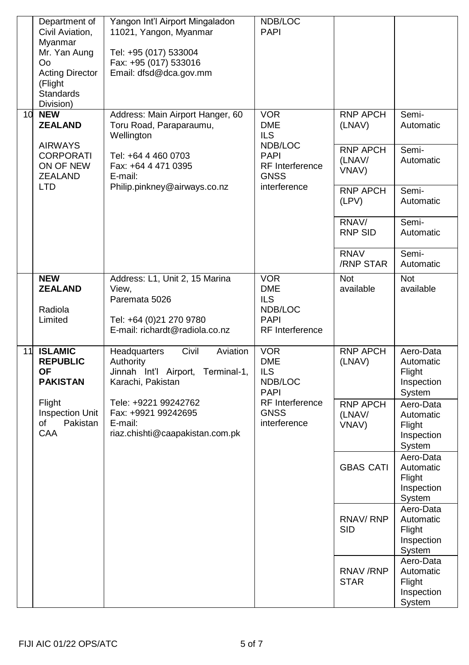|    | Department of<br>Civil Aviation,<br>Myanmar<br>Mr. Yan Aung<br>Oo<br><b>Acting Director</b><br>(Flight<br>Standards<br>Division) | Yangon Int'l Airport Mingaladon<br>11021, Yangon, Myanmar<br>Tel: +95 (017) 533004<br>Fax: +95 (017) 533016<br>Email: dfsd@dca.gov.mm                                                                        | NDB/LOC<br><b>PAPI</b>                                                                                       |                                                                                                                                             |                                                                                                                      |
|----|----------------------------------------------------------------------------------------------------------------------------------|--------------------------------------------------------------------------------------------------------------------------------------------------------------------------------------------------------------|--------------------------------------------------------------------------------------------------------------|---------------------------------------------------------------------------------------------------------------------------------------------|----------------------------------------------------------------------------------------------------------------------|
|    | 10 <b>NEW</b><br><b>ZEALAND</b><br><b>AIRWAYS</b><br><b>CORPORATI</b><br>ON OF NEW<br>ZEALAND<br>LTD                             | Address: Main Airport Hanger, 60<br>Toru Road, Paraparaumu,<br>Wellington<br>Tel: +64 4 460 0703<br>Fax: +64 4 471 0395<br>E-mail:<br>Philip.pinkney@airways.co.nz                                           | <b>VOR</b><br><b>DME</b><br>ILS.<br>NDB/LOC<br><b>PAPI</b><br><b>RF</b> Interference<br>GNSS<br>interference | <b>RNP APCH</b><br>(LNAV)<br><b>RNP APCH</b><br>(LNAV/<br>VNAV)<br><b>RNP APCH</b><br>(LPV)<br>RNAV/<br>RNP SID<br><b>RNAV</b><br>/RNP STAR | Semi-<br>Automatic<br>Semi-<br>Automatic<br>Semi-<br>Automatic<br>Semi-<br>Automatic<br>Semi-<br>Automatic           |
|    | <b>NEW</b><br><b>ZEALAND</b><br>Radiola<br>Limited                                                                               | Address: L1, Unit 2, 15 Marina<br>View,<br>Paremata 5026<br>Tel: +64 (0)21 270 9780<br>E-mail: richardt@radiola.co.nz                                                                                        | <b>VOR</b><br><b>DME</b><br>ILS.<br>NDB/LOC<br>PAPI<br><b>RF</b> Interference                                | Not<br>available                                                                                                                            | Not<br>available                                                                                                     |
| 11 | <b>ISLAMIC</b><br><b>REPUBLIC</b><br>ΟF<br><b>PAKISTAN</b><br>Flight<br>Inspection Unit<br>Pakistan<br>of<br>CAA                 | <b>Headquarters</b><br>Civil<br>Aviation<br>Authority<br>Jinnah Int'l Airport, Terminal-1,<br>Karachi, Pakistan<br>Tele: +9221 99242762<br>Fax: +9921 99242695<br>E-mail:<br>riaz.chishti@caapakistan.com.pk | <b>VOR</b><br><b>DME</b><br>ILS.<br>NDB/LOC<br>PAPI<br>RF Interference<br>GNSS<br>interference               | <b>RNP APCH</b><br>(LNAV)<br><b>RNP APCH</b><br>(LNAV/<br>VNAV)                                                                             | Aero-Data<br>Automatic<br>Flight<br>Inspection<br>System<br>Aero-Data<br>Automatic<br>Flight<br>Inspection<br>System |
|    |                                                                                                                                  |                                                                                                                                                                                                              |                                                                                                              | <b>GBAS CATI</b>                                                                                                                            | Aero-Data<br>Automatic<br>Flight<br>Inspection<br>System                                                             |
|    |                                                                                                                                  |                                                                                                                                                                                                              |                                                                                                              | RNAV/RNP<br>SID.                                                                                                                            | Aero-Data<br>Automatic<br>Flight<br>Inspection<br>System                                                             |
|    |                                                                                                                                  |                                                                                                                                                                                                              |                                                                                                              | RNAV/RNP<br>STAR                                                                                                                            | Aero-Data<br>Automatic<br>Flight<br>Inspection<br>System                                                             |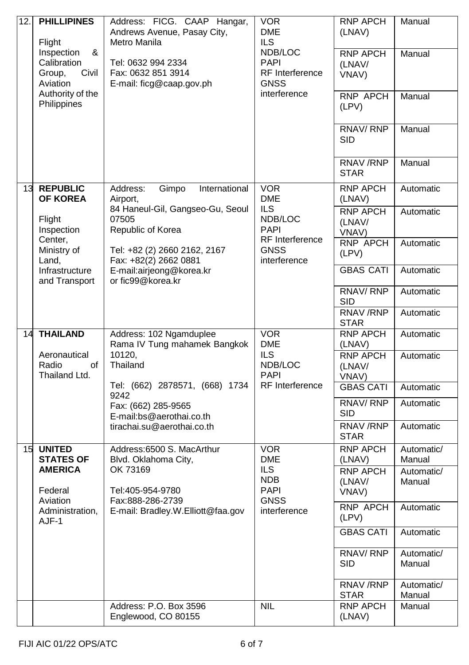| 12.1 | <b>PHILLIPINES</b><br>Flight<br>Inspection<br>&<br>Calibration<br>Group,<br>Civil<br>Aviation<br>Authority of the<br>Philippines                                                                                | Address: FICG. CAAP Hangar,<br>Andrews Avenue, Pasay City,<br>Metro Manila<br>Tel: 0632 994 2334<br>Fax: 0632 851 3914<br>E-mail: ficg@caap.gov.ph | <b>VOR</b><br><b>DME</b><br><b>ILS</b><br>NDB/LOC<br><b>PAPI</b><br><b>RF</b> Interference<br>GNSS<br>interference | <b>RNP APCH</b><br>(LNAV)<br><b>RNP APCH</b><br>(LNAV/<br>VNAV)<br><b>RNP APCH</b><br>(LPV)<br>RNAV/RNP<br>SID<br>RNAV/RNP<br><b>STAR</b> | Manual<br>Manual<br>Manual<br>Manual<br>Manual |
|------|-----------------------------------------------------------------------------------------------------------------------------------------------------------------------------------------------------------------|----------------------------------------------------------------------------------------------------------------------------------------------------|--------------------------------------------------------------------------------------------------------------------|-------------------------------------------------------------------------------------------------------------------------------------------|------------------------------------------------|
| 13   | <b>REPUBLIC</b><br><b>OF KOREA</b><br>Flight                                                                                                                                                                    | Address:<br>Gimpo<br>International<br>Airport,<br>84 Haneul-Gil, Gangseo-Gu, Seoul<br>07505                                                        | <b>VOR</b><br><b>DME</b><br>ILS.<br>NDB/LOC                                                                        | <b>RNP APCH</b><br>(LNAV)<br><b>RNP APCH</b><br>(LNAV/                                                                                    | Automatic<br>Automatic                         |
|      | Inspection<br>Republic of Korea<br>Center,<br>Ministry of<br>Tel: +82 (2) 2660 2162, 2167<br>Land,<br>Fax: +82(2) 2662 0881<br>Infrastructure<br>E-mail:airjeong@korea.kr<br>or fic99@korea.kr<br>and Transport |                                                                                                                                                    | <b>PAPI</b><br>RF Interference<br>GNSS<br>interference                                                             | VNAV)<br><b>RNP APCH</b><br>(LPV)                                                                                                         | Automatic                                      |
|      |                                                                                                                                                                                                                 |                                                                                                                                                    |                                                                                                                    | <b>GBAS CATI</b>                                                                                                                          | Automatic                                      |
|      |                                                                                                                                                                                                                 |                                                                                                                                                    |                                                                                                                    | RNAV/RNP<br>SID                                                                                                                           | Automatic                                      |
|      |                                                                                                                                                                                                                 |                                                                                                                                                    |                                                                                                                    | RNAV/RNP<br>STAR                                                                                                                          | Automatic                                      |
| 14   | <b>THAILAND</b>                                                                                                                                                                                                 | Address: 102 Ngamduplee<br>Rama IV Tung mahamek Bangkok                                                                                            | <b>VOR</b><br><b>DME</b>                                                                                           | <b>RNP APCH</b><br>(LNAV)                                                                                                                 | Automatic                                      |
|      | Aeronautical<br>Radio<br>of<br>Thailand Ltd.                                                                                                                                                                    | 10120,<br>Thailand<br>Tel: (662) 2878571, (668) 1734<br>9242                                                                                       | ILS.<br>NDB/LOC<br><b>PAPI</b><br>RF Interference                                                                  | <b>RNP APCH</b><br>(LNAV/<br>VNAV)                                                                                                        | Automatic                                      |
|      |                                                                                                                                                                                                                 |                                                                                                                                                    |                                                                                                                    | <b>GBAS CATI</b>                                                                                                                          | Automatic                                      |
|      |                                                                                                                                                                                                                 | Fax: (662) 285-9565<br>E-mail:bs@aerothai.co.th                                                                                                    |                                                                                                                    | RNAV/RNP<br>SID                                                                                                                           | Automatic                                      |
|      |                                                                                                                                                                                                                 | tirachai.su@aerothai.co.th                                                                                                                         |                                                                                                                    | RNAV / RNP<br>STAR                                                                                                                        | Automatic                                      |
| 15   | <b>UNITED</b><br><b>STATES OF</b><br><b>AMERICA</b>                                                                                                                                                             | Address:6500 S. MacArthur<br>Blvd. Oklahoma City,<br>OK 73169                                                                                      | <b>VOR</b><br>DME<br>ILS.                                                                                          | <b>RNP APCH</b><br>(LNAV)<br><b>RNP APCH</b>                                                                                              | Automatic/<br>Manual                           |
|      | Federal                                                                                                                                                                                                         | Tel:405-954-9780                                                                                                                                   | NDB<br>PAPI                                                                                                        | (LNAV/<br>VNAV)                                                                                                                           | Automatic/<br>Manual                           |
|      | Aviation<br>Fax:888-286-2739<br>E-mail: Bradley.W.Elliott@faa.gov<br>Administration,<br>AJF-1                                                                                                                   | <b>GNSS</b><br>interference                                                                                                                        | RNP APCH<br>(LPV)                                                                                                  | Automatic                                                                                                                                 |                                                |
|      |                                                                                                                                                                                                                 |                                                                                                                                                    |                                                                                                                    | <b>GBAS CATI</b>                                                                                                                          | Automatic                                      |
|      |                                                                                                                                                                                                                 |                                                                                                                                                    |                                                                                                                    | RNAV/RNP<br>SID                                                                                                                           | Automatic/<br>Manual                           |
|      |                                                                                                                                                                                                                 |                                                                                                                                                    |                                                                                                                    | RNAV / RNP<br>STAR                                                                                                                        | Automatic/<br>Manual                           |
|      |                                                                                                                                                                                                                 | Address: P.O. Box 3596<br>Englewood, CO 80155                                                                                                      | <b>NIL</b>                                                                                                         | <b>RNP APCH</b><br>(LNAV)                                                                                                                 | Manual                                         |